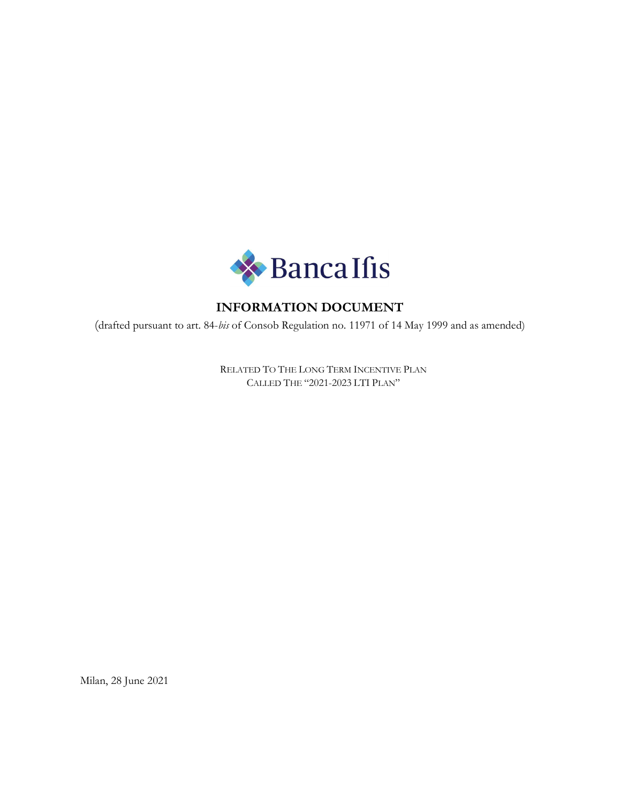

# INFORMATION DOCUMENT

(drafted pursuant to art. 84-bis of Consob Regulation no. 11971 of 14 May 1999 and as amended)

RELATED TO THE LONG TERM INCENTIVE PLAN CALLED THE "2021-2023 LTI PLAN"

Milan, 28 June 2021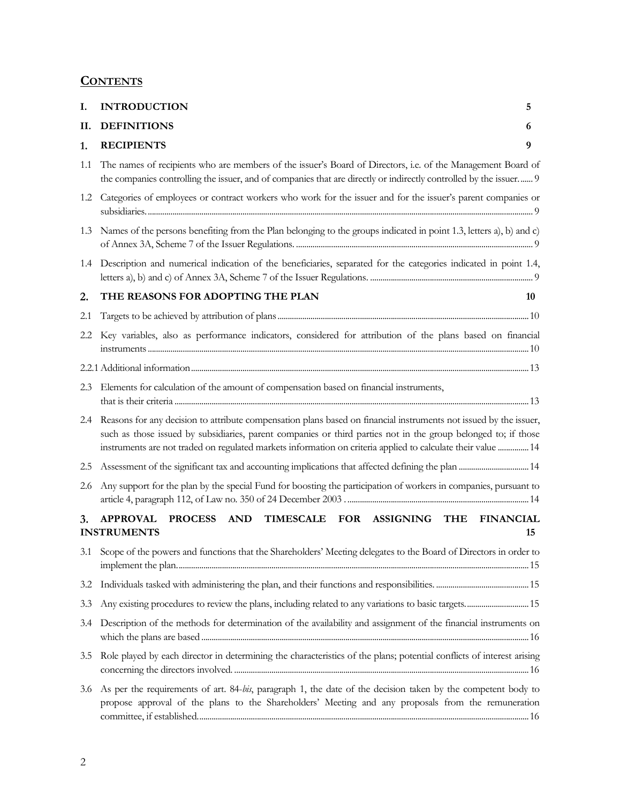# **CONTENTS**

| I.  | <b>INTRODUCTION</b>                                                                                                                                                                                                                                                                                                                                     | 5  |
|-----|---------------------------------------------------------------------------------------------------------------------------------------------------------------------------------------------------------------------------------------------------------------------------------------------------------------------------------------------------------|----|
|     | II. DEFINITIONS                                                                                                                                                                                                                                                                                                                                         | 6  |
| 1.  | <b>RECIPIENTS</b>                                                                                                                                                                                                                                                                                                                                       | 9  |
|     | 1.1 The names of recipients who are members of the issuer's Board of Directors, i.e. of the Management Board of<br>the companies controlling the issuer, and of companies that are directly or indirectly controlled by the issuer 9                                                                                                                    |    |
|     | 1.2 Categories of employees or contract workers who work for the issuer and for the issuer's parent companies or                                                                                                                                                                                                                                        |    |
|     | 1.3 Names of the persons benefiting from the Plan belonging to the groups indicated in point 1.3, letters a), b) and c)                                                                                                                                                                                                                                 |    |
|     | 1.4 Description and numerical indication of the beneficiaries, separated for the categories indicated in point 1.4,                                                                                                                                                                                                                                     |    |
| 2.  | THE REASONS FOR ADOPTING THE PLAN                                                                                                                                                                                                                                                                                                                       | 10 |
| 2.1 |                                                                                                                                                                                                                                                                                                                                                         |    |
|     | 2.2 Key variables, also as performance indicators, considered for attribution of the plans based on financial                                                                                                                                                                                                                                           |    |
|     |                                                                                                                                                                                                                                                                                                                                                         |    |
|     | 2.3 Elements for calculation of the amount of compensation based on financial instruments,                                                                                                                                                                                                                                                              |    |
|     | 2.4 Reasons for any decision to attribute compensation plans based on financial instruments not issued by the issuer,<br>such as those issued by subsidiaries, parent companies or third parties not in the group belonged to; if those<br>instruments are not traded on regulated markets information on criteria applied to calculate their value  14 |    |
|     |                                                                                                                                                                                                                                                                                                                                                         |    |
|     | 2.6 Any support for the plan by the special Fund for boosting the participation of workers in companies, pursuant to                                                                                                                                                                                                                                    |    |
| 3.  | <b>APPROVAL</b><br>PROCESS AND TIMESCALE FOR ASSIGNING THE FINANCIAL<br><b>INSTRUMENTS</b>                                                                                                                                                                                                                                                              | 15 |
|     | 3.1 Scope of the powers and functions that the Shareholders' Meeting delegates to the Board of Directors in order to                                                                                                                                                                                                                                    |    |
|     |                                                                                                                                                                                                                                                                                                                                                         |    |
| 3.3 | Any existing procedures to review the plans, including related to any variations to basic targets 15                                                                                                                                                                                                                                                    |    |
| 3.4 | Description of the methods for determination of the availability and assignment of the financial instruments on                                                                                                                                                                                                                                         |    |
| 3.5 | Role played by each director in determining the characteristics of the plans; potential conflicts of interest arising                                                                                                                                                                                                                                   |    |
|     | 3.6 As per the requirements of art. 84-bis, paragraph 1, the date of the decision taken by the competent body to<br>propose approval of the plans to the Shareholders' Meeting and any proposals from the remuneration                                                                                                                                  |    |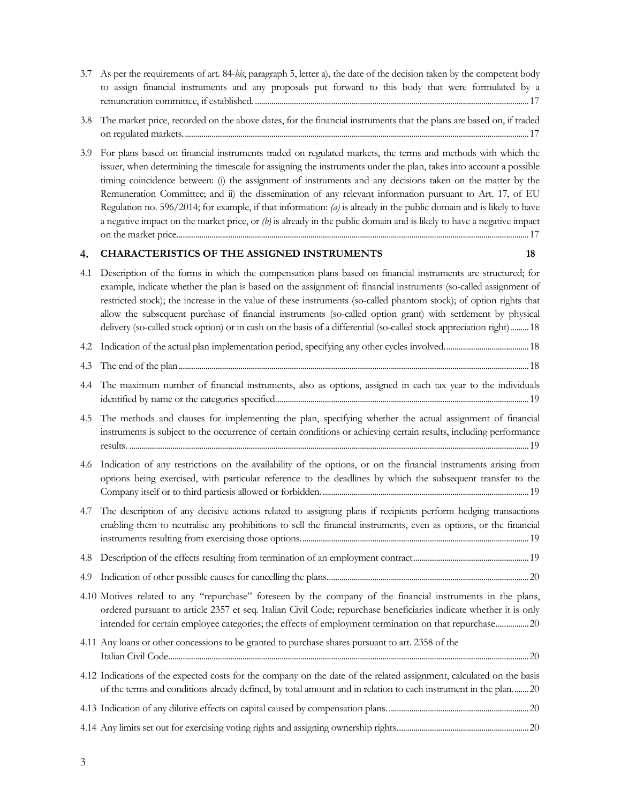- 3.7 As per the requirements of art. 84-bis, paragraph 5, letter a), the date of the decision taken by the competent body to assign financial instruments and any proposals put forward to this body that were formulated by a remuneration committee, if established. ..................................................................................................................................... 17
- 3.8 The market price, recorded on the above dates, for the financial instruments that the plans are based on, if traded on regulated markets. ....................................................................................................................................................................... 17
- 3.9 For plans based on financial instruments traded on regulated markets, the terms and methods with which the issuer, when determining the timescale for assigning the instruments under the plan, takes into account a possible timing coincidence between: (i) the assignment of instruments and any decisions taken on the matter by the Remuneration Committee; and ii) the dissemination of any relevant information pursuant to Art. 17, of EU Regulation no. 596/2014; for example, if that information: (a) is already in the public domain and is likely to have a negative impact on the market price, or  $(b)$  is already in the public domain and is likely to have a negative impact on the market price. .......................................................................................................................................................................... 17

# 4. CHARACTERISTICS OF THE ASSIGNED INSTRUMENTS 18

4.1 Description of the forms in which the compensation plans based on financial instruments are structured; for example, indicate whether the plan is based on the assignment of: financial instruments (so-called assignment of restricted stock); the increase in the value of these instruments (so-called phantom stock); of option rights that allow the subsequent purchase of financial instruments (so-called option grant) with settlement by physical delivery (so-called stock option) or in cash on the basis of a differential (so-called stock appreciation right) ......... 18 4.2 Indication of the actual plan implementation period, specifying any other cycles involved. ........................................ 18 4.3 The end of the plan .......................................................................................................................................................................... 18 4.4 The maximum number of financial instruments, also as options, assigned in each tax year to the individuals identified by name or the categories specified. .......................................................................................................................... 19 4.5 The methods and clauses for implementing the plan, specifying whether the actual assignment of financial instruments is subject to the occurrence of certain conditions or achieving certain results, including performance results. .................................................................................................................................................................................................. 19 4.6 Indication of any restrictions on the availability of the options, or on the financial instruments arising from options being exercised, with particular reference to the deadlines by which the subsequent transfer to the Company itself or to third partiesis allowed or forbidden. .................................................................................................... 19 4.7 The description of any decisive actions related to assigning plans if recipients perform hedging transactions enabling them to neutralise any prohibitions to sell the financial instruments, even as options, or the financial instruments resulting from exercising those options. .............................................................................................................. 19 4.8 Description of the effects resulting from termination of an employment contract ........................................................ 19 4.9 Indication of other possible causes for cancelling the plans. ................................................................................................. 20 4.10 Motives related to any "repurchase" foreseen by the company of the financial instruments in the plans, ordered pursuant to article 2357 et seq. Italian Civil Code; repurchase beneficiaries indicate whether it is only intended for certain employee categories; the effects of employment termination on that repurchase. ............... 20 4.11 Any loans or other concessions to be granted to purchase shares pursuant to art. 2358 of the Italian Civil Code. .............................................................................................................................................................................. 20 4.12 Indications of the expected costs for the company on the date of the related assignment, calculated on the basis of the terms and conditions already defined, by total amount and in relation to each instrument in the plan. ....... 20 4.13 Indication of any dilutive effects on capital caused by compensation plans. .................................................................... 20 4.14 Any limits set out for exercising voting rights and assigning ownership rights. ............................................................... 20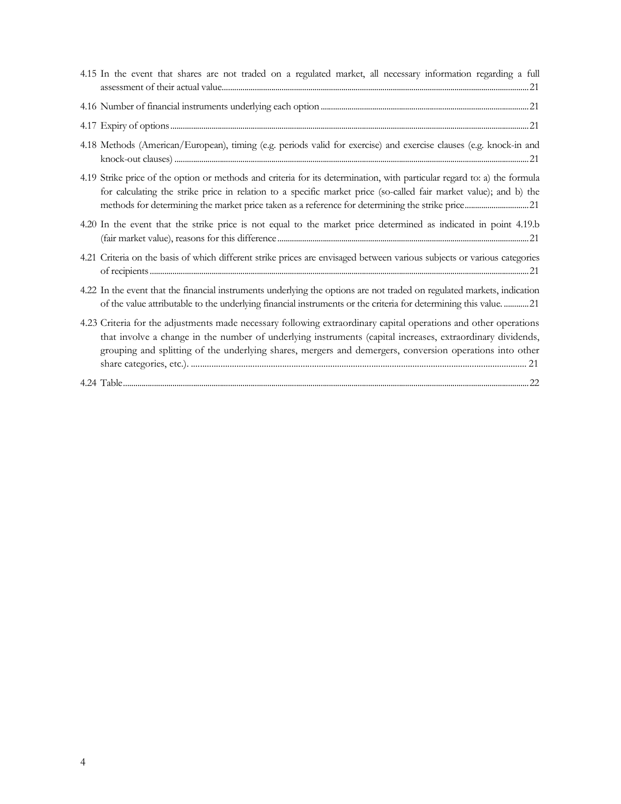| 4.15 In the event that shares are not traded on a regulated market, all necessary information regarding a full                                                                                                                                                                                                                             |
|--------------------------------------------------------------------------------------------------------------------------------------------------------------------------------------------------------------------------------------------------------------------------------------------------------------------------------------------|
|                                                                                                                                                                                                                                                                                                                                            |
|                                                                                                                                                                                                                                                                                                                                            |
| 4.18 Methods (American/European), timing (e.g. periods valid for exercise) and exercise clauses (e.g. knock-in and                                                                                                                                                                                                                         |
| 4.19 Strike price of the option or methods and criteria for its determination, with particular regard to: a) the formula<br>for calculating the strike price in relation to a specific market price (so-called fair market value); and b) the                                                                                              |
| 4.20 In the event that the strike price is not equal to the market price determined as indicated in point 4.19.b                                                                                                                                                                                                                           |
| 4.21 Criteria on the basis of which different strike prices are envisaged between various subjects or various categories                                                                                                                                                                                                                   |
| 4.22 In the event that the financial instruments underlying the options are not traded on regulated markets, indication<br>of the value attributable to the underlying financial instruments or the criteria for determining this value. 21                                                                                                |
| 4.23 Criteria for the adjustments made necessary following extraordinary capital operations and other operations<br>that involve a change in the number of underlying instruments (capital increases, extraordinary dividends,<br>grouping and splitting of the underlying shares, mergers and demergers, conversion operations into other |
|                                                                                                                                                                                                                                                                                                                                            |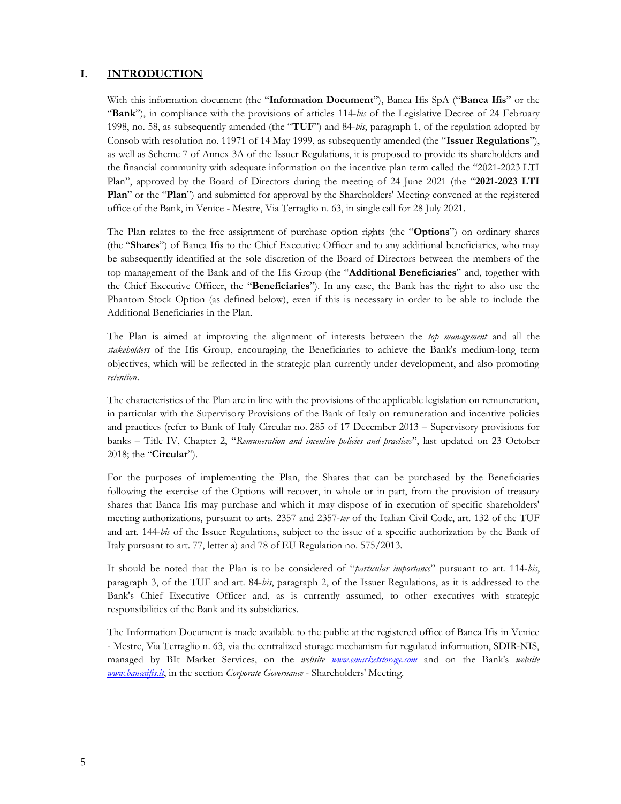#### I. INTRODUCTION

With this information document (the "Information Document"), Banca Ifis SpA ("Banca Ifis" or the "Bank"), in compliance with the provisions of articles 114-bis of the Legislative Decree of 24 February 1998, no. 58, as subsequently amended (the " $TUF$ ") and 84-bis, paragraph 1, of the regulation adopted by Consob with resolution no. 11971 of 14 May 1999, as subsequently amended (the "Issuer Regulations"), as well as Scheme 7 of Annex 3A of the Issuer Regulations, it is proposed to provide its shareholders and the financial community with adequate information on the incentive plan term called the "2021-2023 LTI Plan", approved by the Board of Directors during the meeting of 24 June 2021 (the "2021-2023 LTI Plan" or the "Plan") and submitted for approval by the Shareholders' Meeting convened at the registered office of the Bank, in Venice - Mestre, Via Terraglio n. 63, in single call for 28 July 2021.

The Plan relates to the free assignment of purchase option rights (the "Options") on ordinary shares (the "Shares") of Banca Ifis to the Chief Executive Officer and to any additional beneficiaries, who may be subsequently identified at the sole discretion of the Board of Directors between the members of the top management of the Bank and of the Ifis Group (the "Additional Beneficiaries" and, together with the Chief Executive Officer, the "Beneficiaries"). In any case, the Bank has the right to also use the Phantom Stock Option (as defined below), even if this is necessary in order to be able to include the Additional Beneficiaries in the Plan.

The Plan is aimed at improving the alignment of interests between the *top management* and all the stakeholders of the Ifis Group, encouraging the Beneficiaries to achieve the Bank's medium-long term objectives, which will be reflected in the strategic plan currently under development, and also promoting retention.

The characteristics of the Plan are in line with the provisions of the applicable legislation on remuneration, in particular with the Supervisory Provisions of the Bank of Italy on remuneration and incentive policies and practices (refer to Bank of Italy Circular no. 285 of 17 December 2013 – Supervisory provisions for banks – Title IV, Chapter 2, "Remuneration and incentive policies and practices", last updated on 23 October 2018; the "Circular").

For the purposes of implementing the Plan, the Shares that can be purchased by the Beneficiaries following the exercise of the Options will recover, in whole or in part, from the provision of treasury shares that Banca Ifis may purchase and which it may dispose of in execution of specific shareholders' meeting authorizations, pursuant to arts. 2357 and 2357-ter of the Italian Civil Code, art. 132 of the TUF and art. 144-bis of the Issuer Regulations, subject to the issue of a specific authorization by the Bank of Italy pursuant to art. 77, letter a) and 78 of EU Regulation no. 575/2013.

It should be noted that the Plan is to be considered of "particular importance" pursuant to art. 114-bis, paragraph 3, of the TUF and art. 84-bis, paragraph 2, of the Issuer Regulations, as it is addressed to the Bank's Chief Executive Officer and, as is currently assumed, to other executives with strategic responsibilities of the Bank and its subsidiaries.

The Information Document is made available to the public at the registered office of Banca Ifis in Venice - Mestre, Via Terraglio n. 63, via the centralized storage mechanism for regulated information, SDIR-NIS, managed by BIt Market Services, on the *website www.emarketstorage.com* and on the Bank's *website* **www.bancaifis.it**, in the section *Corporate Governance* - Shareholders' Meeting.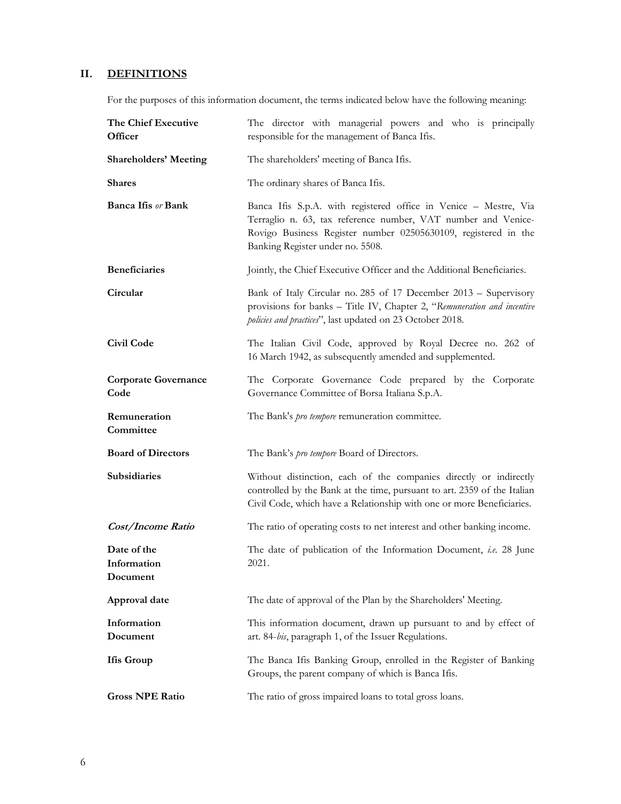# II. DEFINITIONS

For the purposes of this information document, the terms indicated below have the following meaning:

| The Chief Executive<br>Officer         | The director with managerial powers and who is principally<br>responsible for the management of Banca Ifis.                                                                                                                             |  |  |  |  |
|----------------------------------------|-----------------------------------------------------------------------------------------------------------------------------------------------------------------------------------------------------------------------------------------|--|--|--|--|
| <b>Shareholders' Meeting</b>           | The shareholders' meeting of Banca Ifis.                                                                                                                                                                                                |  |  |  |  |
| <b>Shares</b>                          | The ordinary shares of Banca Ifis.                                                                                                                                                                                                      |  |  |  |  |
| <b>Banca Ifis or Bank</b>              | Banca Ifis S.p.A. with registered office in Venice - Mestre, Via<br>Terraglio n. 63, tax reference number, VAT number and Venice-<br>Rovigo Business Register number 02505630109, registered in the<br>Banking Register under no. 5508. |  |  |  |  |
| <b>Beneficiaries</b>                   | Jointly, the Chief Executive Officer and the Additional Beneficiaries.                                                                                                                                                                  |  |  |  |  |
| Circular                               | Bank of Italy Circular no. 285 of 17 December 2013 – Supervisory<br>provisions for banks - Title IV, Chapter 2, "Remuneration and incentive<br>policies and practices", last updated on 23 October 2018.                                |  |  |  |  |
| Civil Code                             | The Italian Civil Code, approved by Royal Decree no. 262 of<br>16 March 1942, as subsequently amended and supplemented.                                                                                                                 |  |  |  |  |
| <b>Corporate Governance</b><br>Code    | The Corporate Governance Code prepared by the Corporate<br>Governance Committee of Borsa Italiana S.p.A.                                                                                                                                |  |  |  |  |
| Remuneration<br>Committee              | The Bank's pro tempore remuneration committee.                                                                                                                                                                                          |  |  |  |  |
| <b>Board of Directors</b>              | The Bank's pro tempore Board of Directors.                                                                                                                                                                                              |  |  |  |  |
| Subsidiaries                           | Without distinction, each of the companies directly or indirectly<br>controlled by the Bank at the time, pursuant to art. 2359 of the Italian<br>Civil Code, which have a Relationship with one or more Beneficiaries.                  |  |  |  |  |
| Cost/Income Ratio                      | The ratio of operating costs to net interest and other banking income.                                                                                                                                                                  |  |  |  |  |
| Date of the<br>Information<br>Document | The date of publication of the Information Document, <i>i.e.</i> 28 June<br>2021.                                                                                                                                                       |  |  |  |  |
| Approval date                          | The date of approval of the Plan by the Shareholders' Meeting.                                                                                                                                                                          |  |  |  |  |
| Information<br>Document                | This information document, drawn up pursuant to and by effect of<br>art. 84-bis, paragraph 1, of the Issuer Regulations.                                                                                                                |  |  |  |  |
| <b>Ifis Group</b>                      | The Banca Ifis Banking Group, enrolled in the Register of Banking<br>Groups, the parent company of which is Banca Ifis.                                                                                                                 |  |  |  |  |
| <b>Gross NPE Ratio</b>                 | The ratio of gross impaired loans to total gross loans.                                                                                                                                                                                 |  |  |  |  |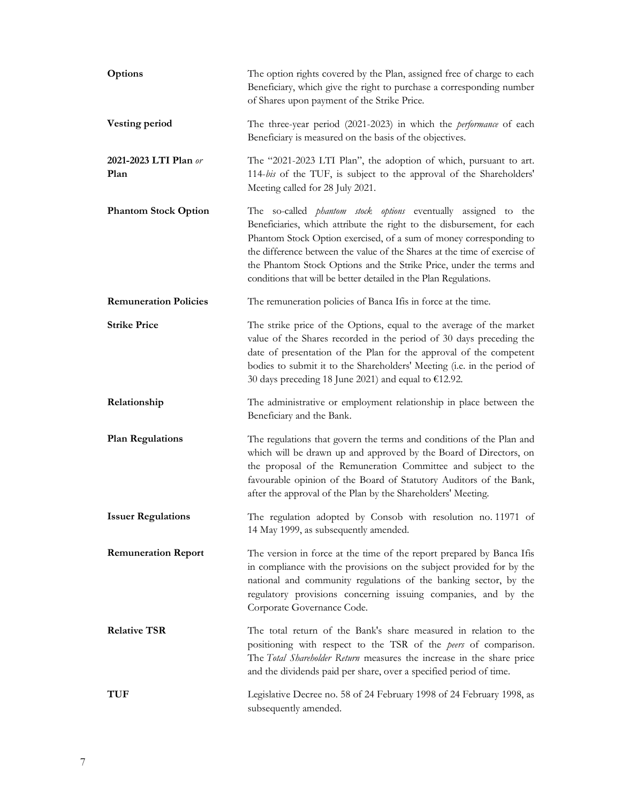| Options                       | The option rights covered by the Plan, assigned free of charge to each<br>Beneficiary, which give the right to purchase a corresponding number<br>of Shares upon payment of the Strike Price.                                                                                                                                                                                                                                                |
|-------------------------------|----------------------------------------------------------------------------------------------------------------------------------------------------------------------------------------------------------------------------------------------------------------------------------------------------------------------------------------------------------------------------------------------------------------------------------------------|
| <b>Vesting period</b>         | The three-year period (2021-2023) in which the <i>performance</i> of each<br>Beneficiary is measured on the basis of the objectives.                                                                                                                                                                                                                                                                                                         |
| 2021-2023 LTI Plan or<br>Plan | The "2021-2023 LTI Plan", the adoption of which, pursuant to art.<br>114-bis of the TUF, is subject to the approval of the Shareholders'<br>Meeting called for 28 July 2021.                                                                                                                                                                                                                                                                 |
| <b>Phantom Stock Option</b>   | The so-called <i>phantom stock options</i> eventually assigned to the<br>Beneficianes, which attribute the right to the disbursement, for each<br>Phantom Stock Option exercised, of a sum of money corresponding to<br>the difference between the value of the Shares at the time of exercise of<br>the Phantom Stock Options and the Strike Price, under the terms and<br>conditions that will be better detailed in the Plan Regulations. |
| <b>Remuneration Policies</b>  | The remuneration policies of Banca Ifis in force at the time.                                                                                                                                                                                                                                                                                                                                                                                |
| <b>Strike Price</b>           | The strike price of the Options, equal to the average of the market<br>value of the Shares recorded in the period of 30 days preceding the<br>date of presentation of the Plan for the approval of the competent<br>bodies to submit it to the Shareholders' Meeting (i.e. in the period of<br>30 days preceding 18 June 2021) and equal to €12.92.                                                                                          |
| Relationship                  | The administrative or employment relationship in place between the<br>Beneficiary and the Bank.                                                                                                                                                                                                                                                                                                                                              |
| <b>Plan Regulations</b>       | The regulations that govern the terms and conditions of the Plan and<br>which will be drawn up and approved by the Board of Directors, on<br>the proposal of the Remuneration Committee and subject to the<br>favourable opinion of the Board of Statutory Auditors of the Bank,<br>after the approval of the Plan by the Shareholders' Meeting.                                                                                             |
| <b>Issuer Regulations</b>     | The regulation adopted by Consob with resolution no 11971 of<br>14 May 1999, as subsequently amended.                                                                                                                                                                                                                                                                                                                                        |
| <b>Remuneration Report</b>    | The version in force at the time of the report prepared by Banca Ifis<br>in compliance with the provisions on the subject provided for by the<br>national and community regulations of the banking sector, by the<br>regulatory provisions concerning issuing companies, and by the<br>Corporate Governance Code.                                                                                                                            |
| <b>Relative TSR</b>           | The total return of the Bank's share measured in relation to the<br>positioning with respect to the TSR of the peers of comparison.<br>The Total Shareholder Return measures the increase in the share price<br>and the dividends paid per share, over a specified period of time.                                                                                                                                                           |
| TUF                           | Legislative Decree no. 58 of 24 February 1998 of 24 February 1998, as<br>subsequently amended.                                                                                                                                                                                                                                                                                                                                               |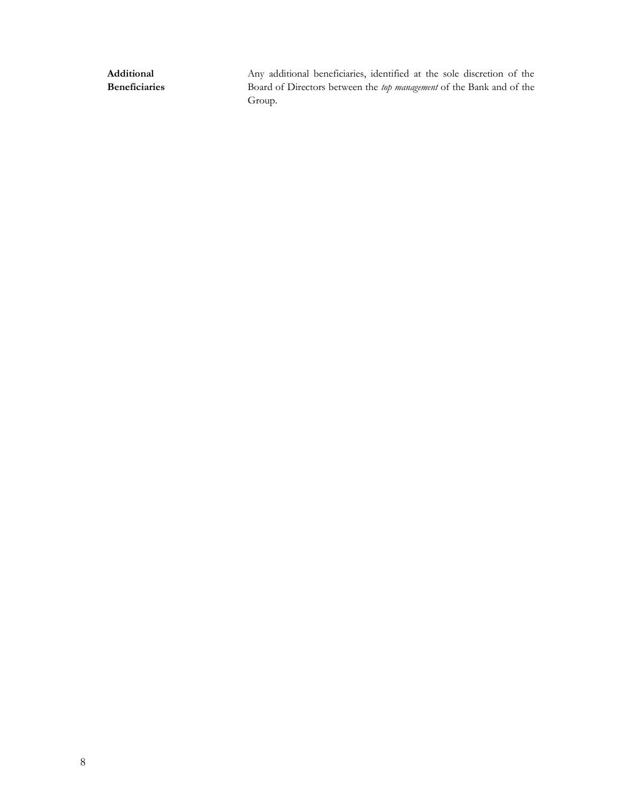Additional Beneficiaries Any additional beneficiaries, identified at the sole discretion of the Board of Directors between the top management of the Bank and of the Group.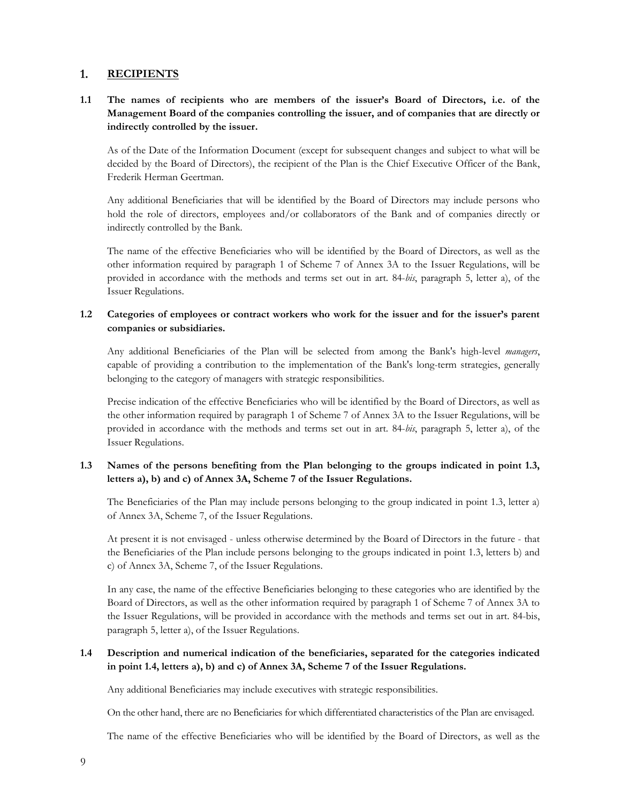#### $1.$ **RECIPIENTS**

# 1.1 The names of recipients who are members of the issuer's Board of Directors, i.e. of the Management Board of the companies controlling the issuer, and of companies that are directly or indirectly controlled by the issuer.

As of the Date of the Information Document (except for subsequent changes and subject to what will be decided by the Board of Directors), the recipient of the Plan is the Chief Executive Officer of the Bank, Frederik Herman Geertman.

Any additional Beneficiaries that will be identified by the Board of Directors may include persons who hold the role of directors, employees and/or collaborators of the Bank and of companies directly or indirectly controlled by the Bank.

The name of the effective Beneficiaries who will be identified by the Board of Directors, as well as the other information required by paragraph 1 of Scheme 7 of Annex 3A to the Issuer Regulations, will be provided in accordance with the methods and terms set out in art. 84-bis, paragraph 5, letter a), of the Issuer Regulations.

#### 1.2 Categories of employees or contract workers who work for the issuer and for the issuer's parent companies or subsidiaries.

Any additional Beneficiaries of the Plan will be selected from among the Bank's high-level *managers*, capable of providing a contribution to the implementation of the Bank's long-term strategies, generally belonging to the category of managers with strategic responsibilities.

Precise indication of the effective Beneficiaries who will be identified by the Board of Directors, as well as the other information required by paragraph 1 of Scheme 7 of Annex 3A to the Issuer Regulations, will be provided in accordance with the methods and terms set out in art. 84-bis, paragraph 5, letter a), of the Issuer Regulations.

#### 1.3 Names of the persons benefiting from the Plan belonging to the groups indicated in point 1.3, letters a), b) and c) of Annex 3A, Scheme 7 of the Issuer Regulations.

The Beneficiaries of the Plan may include persons belonging to the group indicated in point 1.3, letter a) of Annex 3A, Scheme 7, of the Issuer Regulations.

At present it is not envisaged - unless otherwise determined by the Board of Directors in the future - that the Beneficiaries of the Plan include persons belonging to the groups indicated in point 1.3, letters b) and c) of Annex 3A, Scheme 7, of the Issuer Regulations.

In any case, the name of the effective Beneficiaries belonging to these categories who are identified by the Board of Directors, as well as the other information required by paragraph 1 of Scheme 7 of Annex 3A to the Issuer Regulations, will be provided in accordance with the methods and terms set out in art. 84-bis, paragraph 5, letter a), of the Issuer Regulations.

#### 1.4 Description and numerical indication of the beneficiaries, separated for the categories indicated in point 1.4, letters a), b) and c) of Annex 3A, Scheme 7 of the Issuer Regulations.

Any additional Beneficiaries may include executives with strategic responsibilities.

On the other hand, there are no Beneficiaries for which differentiated characteristics of the Plan are envisaged.

The name of the effective Beneficiaries who will be identified by the Board of Directors, as well as the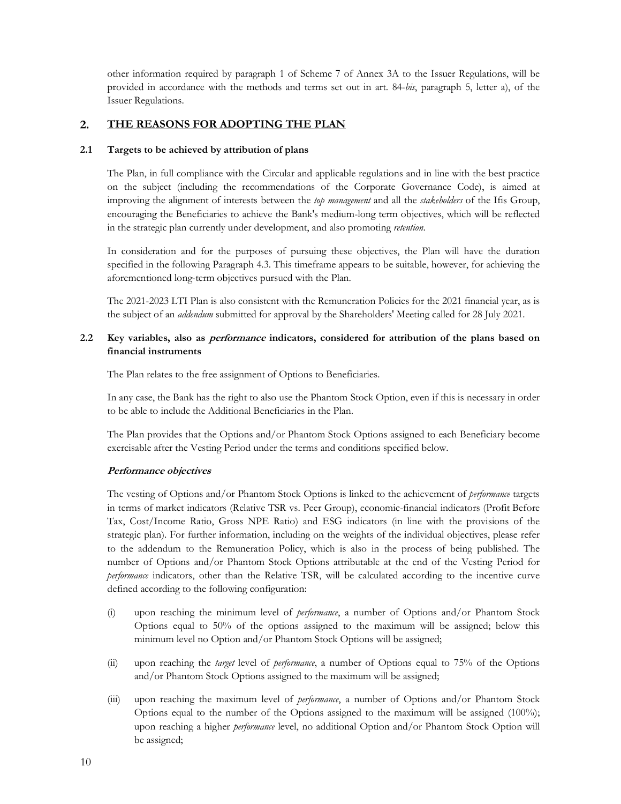other information required by paragraph 1 of Scheme 7 of Annex 3A to the Issuer Regulations, will be provided in accordance with the methods and terms set out in art. 84-bis, paragraph 5, letter a), of the Issuer Regulations.

#### $2.$ THE REASONS FOR ADOPTING THE PLAN

#### 2.1 Targets to be achieved by attribution of plans

The Plan, in full compliance with the Circular and applicable regulations and in line with the best practice on the subject (including the recommendations of the Corporate Governance Code), is aimed at improving the alignment of interests between the top management and all the stakeholders of the Ifis Group, encouraging the Beneficiaries to achieve the Bank's medium-long term objectives, which will be reflected in the strategic plan currently under development, and also promoting *retention*.<br>In consideration and for the purposes of pursuing these objectives, the Plan will have the duration

specified in the following Paragraph 4.3. This timeframe appears to be suitable, however, for achieving the aforementioned long-term objectives pursued with the Plan.

The 2021-2023 LTI Plan is also consistent with the Remuneration Policies for the 2021 financial year, as is the subject of an *addendum* submitted for approval by the Shareholders' Meeting called for 28 July 2021.

# 2.2 Key variables, also as *performance* indicators, considered for attribution of the plans based on financial instruments

The Plan relates to the free assignment of Options to Beneficiaries.

In any case, the Bank has the right to also use the Phantom Stock Option, even if this is necessary in order to be able to include the Additional Beneficiaries in the Plan.

The Plan provides that the Options and/or Phantom Stock Options assigned to each Beneficiary become exercisable after the Vesting Period under the terms and conditions specified below.

# Performance objectives

The vesting of Options and/or Phantom Stock Options is linked to the achievement of *performance* targets in terms of market indicators (Relative TSR vs. Peer Group), economic-financial indicators (Profit Before Tax, Cost/Income Ratio, Gross NPE Ratio) and ESG indicators (in line with the provisions of the strategic plan). For further information, including on the weights of the individual objectives, please refer to the addendum to the Remuneration Policy, which is also in the process of being published. The number of Options and/or Phantom Stock Options attributable at the end of the Vesting Period for performance indicators, other than the Relative TSR, will be calculated according to the incentive curve defined according to the following configuration:

- (i) upon reaching the minimum level of performance, a number of Options and/or Phantom Stock Options equal to 50% of the options assigned to the maximum will be assigned; below this minimum level no Option and/or Phantom Stock Options will be assigned;
- (ii) upon reaching the *target* level of *performance*, a number of Options equal to 75% of the Options and/or Phantom Stock Options assigned to the maximum will be assigned;
- (iii) upon reaching the maximum level of *performance*, a number of Options and/or Phantom Stock Options equal to the number of the Options assigned to the maximum will be assigned (100%); upon reaching a higher *performance* level, no additional Option and/or Phantom Stock Option will be assigned;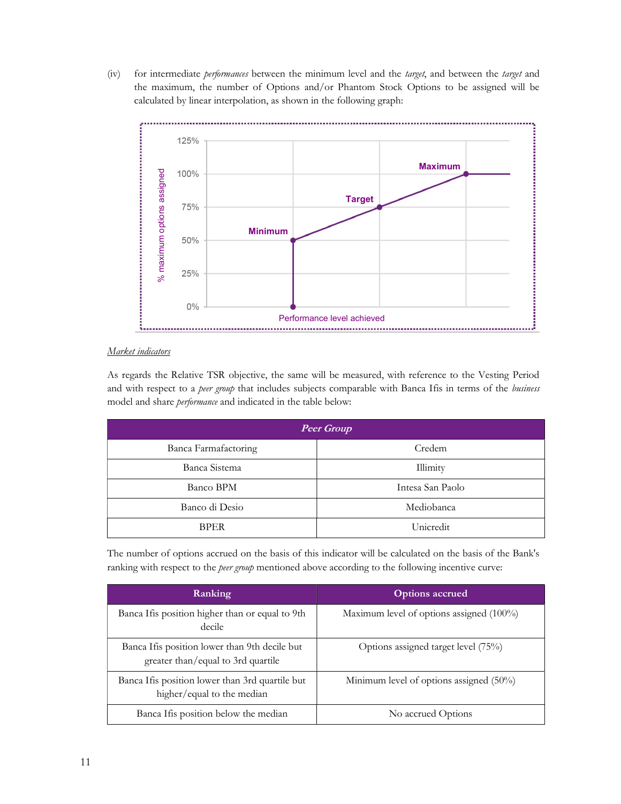(iv) for intermediate *performances* between the minimum level and the *target*, and between the *target* and the maximum, the number of Options and/or Phantom Stock Options to be assigned will be calculated by linear interpolation, as shown in the following graph:



#### Market indicators

As regards the Relative TSR objective, the same will be measured, with reference to the Vesting Period and with respect to a peer group that includes subjects comparable with Banca Ifis in terms of the business model and share *performance* and indicated in the table below:

| <b>Peer Group</b>    |                  |  |  |  |
|----------------------|------------------|--|--|--|
| Banca Farmafactoring | Credem           |  |  |  |
| Banca Sistema        | Illimity         |  |  |  |
| Banco BPM            | Intesa San Paolo |  |  |  |
| Banco di Desio       | Mediobanca       |  |  |  |
| <b>BPER</b>          | Unicredit        |  |  |  |

The number of options accrued on the basis of this indicator will be calculated on the basis of the Bank's ranking with respect to the *peer group* mentioned above according to the following incentive curve:

| Ranking                                                                             | <b>Options accrued</b>                     |  |  |  |
|-------------------------------------------------------------------------------------|--------------------------------------------|--|--|--|
| Banca Ifis position higher than or equal to 9th<br>decile                           | Maximum level of options assigned (100%)   |  |  |  |
| Banca Ifis position lower than 9th decile but<br>greater than/equal to 3rd quartile | Options assigned target level (75%)        |  |  |  |
| Banca Ifis position lower than 3rd quartile but<br>higher/equal to the median       | Minimum level of options assigned $(50\%)$ |  |  |  |
| Banca If is position below the median                                               | No accrued Options                         |  |  |  |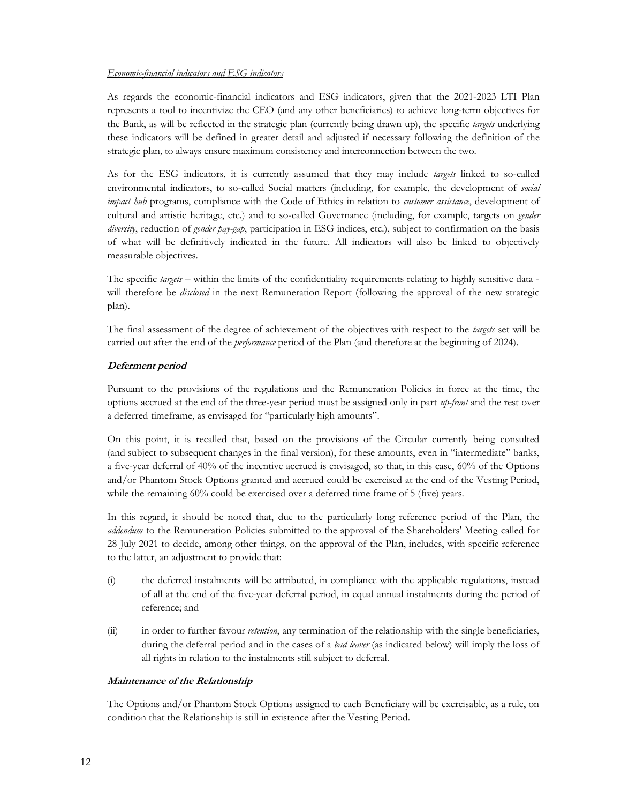#### Economic-financial indicators and ESG indicators

As regards the economic-financial indicators and ESG indicators, given that the 2021-2023 LTI Plan represents a tool to incentivize the CEO (and any other beneficiaries) to achieve long-term objectives for the Bank, as will be reflected in the strategic plan (currently being drawn up), the specific *targets* underlying these indicators will be defined in greater detail and adjusted if necessary following the definition of the strategic plan, to always ensure maximum consistency and interconnection between the two.

As for the ESG indicators, it is currently assumed that they may include *targets* linked to so-called environmental indicators, to so-called Social matters (including, for example, the development of social impact hub programs, compliance with the Code of Ethics in relation to customer assistance, development of cultural and artistic heritage, etc.) and to so-called Governance (including, for example, targets on gender diversity, reduction of gender pay-gap, participation in ESG indices, etc.), subject to confirmation on the basis of what will be definitively indicated in the future. All indicators will also be linked to objectively measurable objectives.

The specific *targets* – within the limits of the confidentiality requirements relating to highly sensitive data will therefore be *disclosed* in the next Remuneration Report (following the approval of the new strategic plan).

The final assessment of the degree of achievement of the objectives with respect to the *targets* set will be carried out after the end of the *performance* period of the Plan (and therefore at the beginning of 2024).

#### Deferment period

Pursuant to the provisions of the regulations and the Remuneration Policies in force at the time, the options accrued at the end of the three-year period must be assigned only in part up-front and the rest over a deferred timeframe, as envisaged for "particularly high amounts".

On this point, it is recalled that, based on the provisions of the Circular currently being consulted (and subject to subsequent changes in the final version), for these amounts, even in "intermediate" banks, a five-year deferral of 40% of the incentive accrued is envisaged, so that, in this case, 60% of the Options and/or Phantom Stock Options granted and accrued could be exercised at the end of the Vesting Period, while the remaining 60% could be exercised over a deferred time frame of 5 (five) years.

In this regard, it should be noted that, due to the particularly long reference period of the Plan, the addendum to the Remuneration Policies submitted to the approval of the Shareholders' Meeting called for 28 July 2021 to decide, among other things, on the approval of the Plan, includes, with specific reference to the latter, an adjustment to provide that:

- (i) the deferred instalments will be attributed, in compliance with the applicable regulations, instead of all at the end of the five-year deferral period, in equal annual instalments during the period of reference; and
- (ii) in order to further favour *retention*, any termination of the relationship with the single beneficiaries, during the deferral period and in the cases of a *bad leaver* (as indicated below) will imply the loss of all rights in relation to the instalments still subject to deferral.

#### Maintenance of the Relationship

The Options and/or Phantom Stock Options assigned to each Beneficiary will be exercisable, as a rule, on condition that the Relationship is still in existence after the Vesting Period.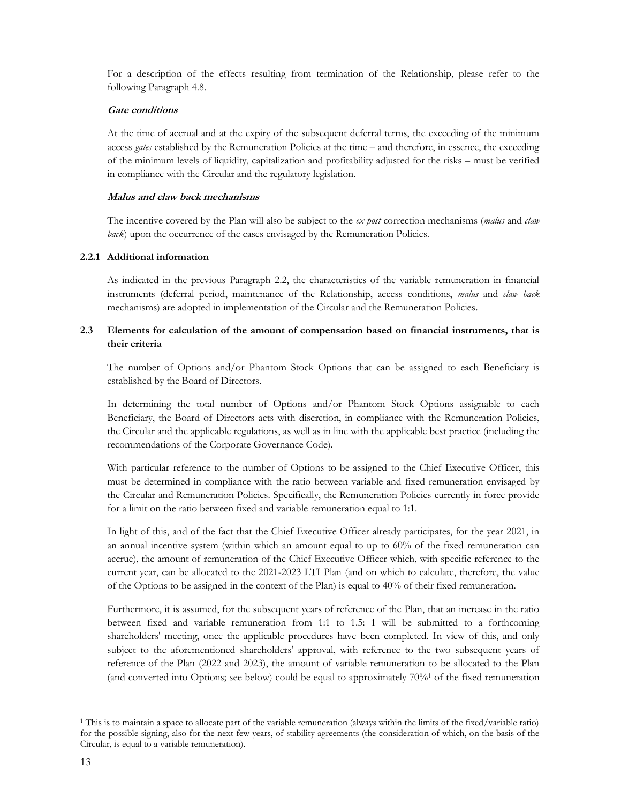For a description of the effects resulting from termination of the Relationship, please refer to the following Paragraph 4.8.

#### Gate conditions

At the time of accrual and at the expiry of the subsequent deferral terms, the exceeding of the minimum access *gates* established by the Remuneration Policies at the time – and therefore, in essence, the exceeding of the minimum levels of liquidity, capitalization and profitability adjusted for the risks – must be verified in compliance with the Circular and the regulatory legislation.

#### Malus and claw back mechanisms

The incentive covered by the Plan will also be subject to the ex post correction mechanisms (malus and claw back) upon the occurrence of the cases envisaged by the Remuneration Policies.

# 2.2.1 Additional information

As indicated in the previous Paragraph 2.2, the characteristics of the variable remuneration in financial instruments (deferral period, maintenance of the Relationship, access conditions, malus and claw back mechanisms) are adopted in implementation of the Circular and the Remuneration Policies.

# 2.3 Elements for calculation of the amount of compensation based on financial instruments, that is their criteria

The number of Options and/or Phantom Stock Options that can be assigned to each Beneficiary is established by the Board of Directors.

In determining the total number of Options and/or Phantom Stock Options assignable to each Beneficiary, the Board of Directors acts with discretion, in compliance with the Remuneration Policies, the Circular and the applicable regulations, as well as in line with the applicable best practice (including the recommendations of the Corporate Governance Code).

With particular reference to the number of Options to be assigned to the Chief Executive Officer, this must be determined in compliance with the ratio between variable and fixed remuneration envisaged by the Circular and Remuneration Policies. Specifically, the Remuneration Policies currently in force provide for a limit on the ratio between fixed and variable remuneration equal to 1:1.

In light of this, and of the fact that the Chief Executive Officer already participates, for the year 2021, in an annual incentive system (within which an amount equal to up to 60% of the fixed remuneration can accrue), the amount of remuneration of the Chief Executive Officer which, with specific reference to the current year, can be allocated to the 2021-2023 LTI Plan (and on which to calculate, therefore, the value of the Options to be assigned in the context of the Plan) is equal to 40% of their fixed remuneration.

Furthermore, it is assumed, for the subsequent years of reference of the Plan, that an increase in the ratio between fixed and variable remuneration from 1:1 to 1.5: 1 will be submitted to a forthcoming shareholders' meeting, once the applicable procedures have been completed. In view of this, and only subject to the aforementioned shareholders' approval, with reference to the two subsequent years of reference of the Plan (2022 and 2023), the amount of variable remuneration to be allocated to the Plan (and converted into Options; see below) could be equal to approximately  $70\%$ <sup>1</sup> of the fixed remuneration

<sup>1</sup> This is to maintain a space to allocate part of the variable remuneration (always within the limits of the fixed/variable ratio) for the possible signing, also for the next few years, of stability agreements (the consideration of which, on the basis of the Circular, is equal to a variable remuneration).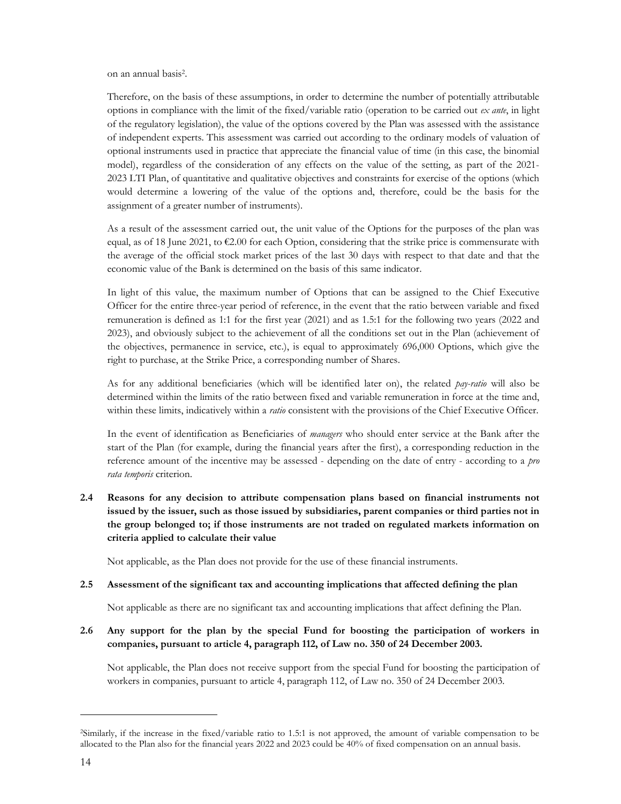on an annual basis<sup>2</sup> .

Therefore, on the basis of these assumptions, in order to determine the number of potentially attributable options in compliance with the limit of the fixed/variable ratio (operation to be carried out  $ex$  ante, in light of the regulatory legislation), the value of the options covered by the Plan was assessed with the assistance of independent experts. This assessment was carried out according to the ordinary models of valuation of optional instruments used in practice that appreciate the financial value of time (in this case, the binomial model), regardless of the consideration of any effects on the value of the setting, as part of the 2021- 2023 LTI Plan, of quantitative and qualitative objectives and constraints for exercise of the options (which would determine a lowering of the value of the options and, therefore, could be the basis for the assignment of a greater number of instruments).

As a result of the assessment carried out, the unit value of the Options for the purposes of the plan was equal, as of 18 June 2021, to  $\epsilon$ 2.00 for each Option, considering that the strike price is commensurate with the average of the official stock market prices of the last 30 days with respect to that date and that the economic value of the Bank is determined on the basis of this same indicator.

In light of this value, the maximum number of Options that can be assigned to the Chief Executive Officer for the entire three-year period of reference, in the event that the ratio between variable and fixed remuneration is defined as 1:1 for the first year (2021) and as 1.5:1 for the following two years (2022 and 2023), and obviously subject to the achievement of all the conditions set out in the Plan (achievement of the objectives, permanence in service, etc.), is equal to approximately 696,000 Options, which give the right to purchase, at the Strike Price, a corresponding number of Shares.

As for any additional beneficiaries (which will be identified later on), the related pay-ratio will also be determined within the limits of the ratio between fixed and variable remuneration in force at the time and, within these limits, indicatively within a ratio consistent with the provisions of the Chief Executive Officer.

In the event of identification as Beneficiaries of *managers* who should enter service at the Bank after the start of the Plan (for example, during the financial years after the first), a corresponding reduction in the reference amount of the incentive may be assessed - depending on the date of entry - according to a *pro* rata temporis criterion.

2.4 Reasons for any decision to attribute compensation plans based on financial instruments not issued by the issuer, such as those issued by subsidiaries, parent companies or third parties not in the group belonged to; if those instruments are not traded on regulated markets information on criteria applied to calculate their value

Not applicable, as the Plan does not provide for the use of these financial instruments.

#### 2.5 Assessment of the significant tax and accounting implications that affected defining the plan

Not applicable as there are no significant tax and accounting implications that affect defining the Plan.

2.6 Any support for the plan by the special Fund for boosting the participation of workers in companies, pursuant to article 4, paragraph 112, of Law no. 350 of 24 December 2003.

Not applicable, the Plan does not receive support from the special Fund for boosting the participation of workers in companies, pursuant to article 4, paragraph 112, of Law no. 350 of 24 December 2003.

<sup>2</sup>Similarly, if the increase in the fixed/variable ratio to 1.5:1 is not approved, the amount of variable compensation to be allocated to the Plan also for the financial years 2022 and 2023 could be 40% of fixed compensation on an annual basis.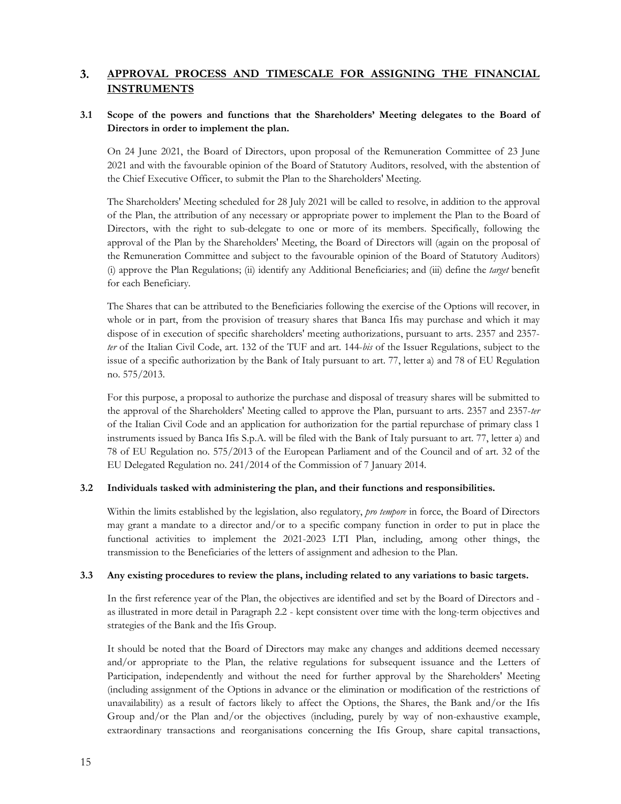#### 3. APPROVAL PROCESS AND TIMESCALE FOR ASSIGNING THE FINANCIAL **INSTRUMENTS**

# 3.1 Scope of the powers and functions that the Shareholders' Meeting delegates to the Board of Directors in order to implement the plan.

On 24 June 2021, the Board of Directors, upon proposal of the Remuneration Committee of 23 June 2021 and with the favourable opinion of the Board of Statutory Auditors, resolved, with the abstention of the Chief Executive Officer, to submit the Plan to the Shareholders' Meeting.

The Shareholders' Meeting scheduled for 28 July 2021 will be called to resolve, in addition to the approval of the Plan, the attribution of any necessary or appropriate power to implement the Plan to the Board of Directors, with the right to sub-delegate to one or more of its members. Specifically, following the approval of the Plan by the Shareholders' Meeting, the Board of Directors will (again on the proposal of the Remuneration Committee and subject to the favourable opinion of the Board of Statutory Auditors) (i) approve the Plan Regulations; (ii) identify any Additional Beneficiaries; and (iii) define the target benefit for each Beneficiary.

The Shares that can be attributed to the Beneficiaries following the exercise of the Options will recover, in whole or in part, from the provision of treasury shares that Banca Ifis may purchase and which it may dispose of in execution of specific shareholders' meeting authorizations, pursuant to arts. 2357 and 2357 ter of the Italian Civil Code, art. 132 of the TUF and art. 144-bis of the Issuer Regulations, subject to the issue of a specific authorization by the Bank of Italy pursuant to art. 77, letter a) and 78 of EU Regulation no. 575/2013.

For this purpose, a proposal to authorize the purchase and disposal of treasury shares will be submitted to the approval of the Shareholders' Meeting called to approve the Plan, pursuant to arts. 2357 and 2357-ter of the Italian Civil Code and an application for authorization for the partial repurchase of primary class 1 instruments issued by Banca Ifis S.p.A. will be filed with the Bank of Italy pursuant to art. 77, letter a) and 78 of EU Regulation no. 575/2013 of the European Parliament and of the Council and of art. 32 of the EU Delegated Regulation no. 241/2014 of the Commission of 7 January 2014.

#### 3.2 Individuals tasked with administering the plan, and their functions and responsibilities.

Within the limits established by the legislation, also regulatory, *pro tempore* in force, the Board of Directors may grant a mandate to a director and/or to a specific company function in order to put in place the functional activities to implement the 2021-2023 LTI Plan, including, among other things, the transmission to the Beneficiaries of the letters of assignment and adhesion to the Plan.

# 3.3 Any existing procedures to review the plans, including related to any variations to basic targets.

In the first reference year of the Plan, the objectives are identified and set by the Board of Directors and as illustrated in more detail in Paragraph 2.2 - kept consistent over time with the long-term objectives and strategies of the Bank and the Ifis Group.

It should be noted that the Board of Directors may make any changes and additions deemed necessary and/or appropriate to the Plan, the relative regulations for subsequent issuance and the Letters of Participation, independently and without the need for further approval by the Shareholders' Meeting (including assignment of the Options in advance or the elimination or modification of the restrictions of unavailability) as a result of factors likely to affect the Options, the Shares, the Bank and/or the Ifis Group and/or the Plan and/or the objectives (including, purely by way of non-exhaustive example, extraordinary transactions and reorganisations concerning the Ifis Group, share capital transactions,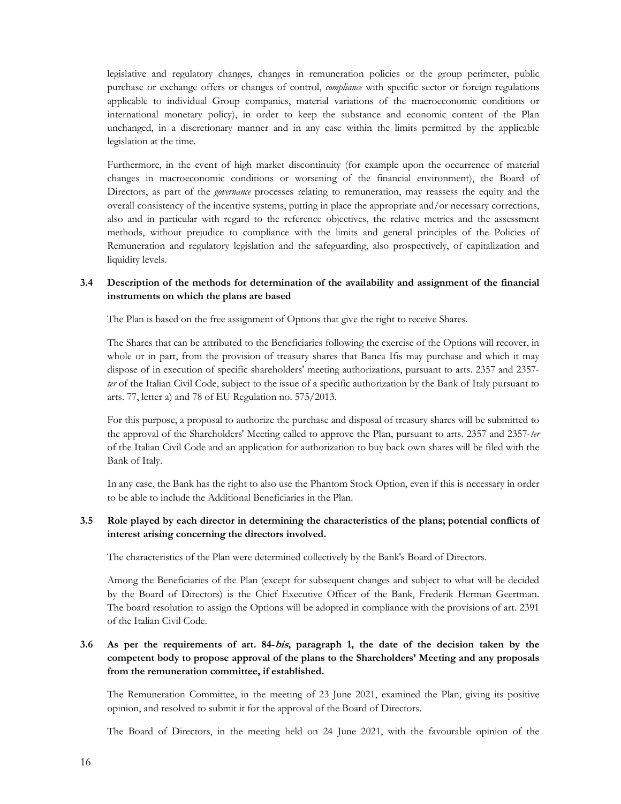legislative and regulatory changes, changes in remuneration policies or the group perimeter, public purchase or exchange offers or changes of control, compliance with specific sector or foreign regulations applicable to individual Group companies, material variations of the macroeconomic conditions or international monetary policy), in order to keep the substance and economic content of the Plan unchanged, in a discretionary manner and in any case within the limits permitted by the applicable legislation at the time.

Furthermore, in the event of high market discontinuity (for example upon the occurrence of material changes in macroeconomic conditions or worsening of the financial environment), the Board of Directors, as part of the *governance* processes relating to remuneration, may reassess the equity and the overall consistency of the incentive systems, putting in place the appropriate and/or necessary corrections, also and in particular with regard to the reference objectives, the relative metrics and the assessment methods, without prejudice to compliance with the limits and general principles of the Policies of Remuneration and regulatory legislation and the safeguarding, also prospectively, of capitalization and liquidity levels.

#### 3.4 Description of the methods for determination of the availability and assignment of the financial instruments on which the plans are based

The Plan is based on the free assignment of Options that give the right to receive Shares.

The Shares that can be attributed to the Beneficiaries following the exercise of the Options will recover, in whole or in part, from the provision of treasury shares that Banca Ifis may purchase and which it may dispose of in execution of specific shareholders' meeting authorizations, pursuant to arts. 2357 and 2357 ter of the Italian Civil Code, subject to the issue of a specific authorization by the Bank of Italy pursuant to arts. 77, letter a) and 78 of EU Regulation no. 575/2013.

For this purpose, a proposal to authorize the purchase and disposal of treasury shares will be submitted to the approval of the Shareholders' Meeting called to approve the Plan, pursuant to arts. 2357 and 2357-ter of the Italian Civil Code and an application for authorization to buy back own shares will be filed with the Bank of Italy.

In any case, the Bank has the right to also use the Phantom Stock Option, even if this is necessary in order to be able to include the Additional Beneficiaries in the Plan.

#### 3.5 Role played by each director in determining the characteristics of the plans; potential conflicts of interest arising concerning the directors involved.

The characteristics of the Plan were determined collectively by the Bank's Board of Directors.

Among the Beneficiaries of the Plan (except for subsequent changes and subject to what will be decided by the Board of Directors) is the Chief Executive Officer of the Bank, Frederik Herman Geertman. The board resolution to assign the Options will be adopted in compliance with the provisions of art. 2391 of the Italian Civil Code.

# 3.6 As per the requirements of art. 84-bis, paragraph 1, the date of the decision taken by the competent body to propose approval of the plans to the Shareholders' Meeting and any proposals from the remuneration committee, if established.

The Remuneration Committee, in the meeting of 23 June 2021, examined the Plan, giving its positive opinion, and resolved to submit it for the approval of the Board of Directors.

The Board of Directors, in the meeting held on 24 June 2021, with the favourable opinion of the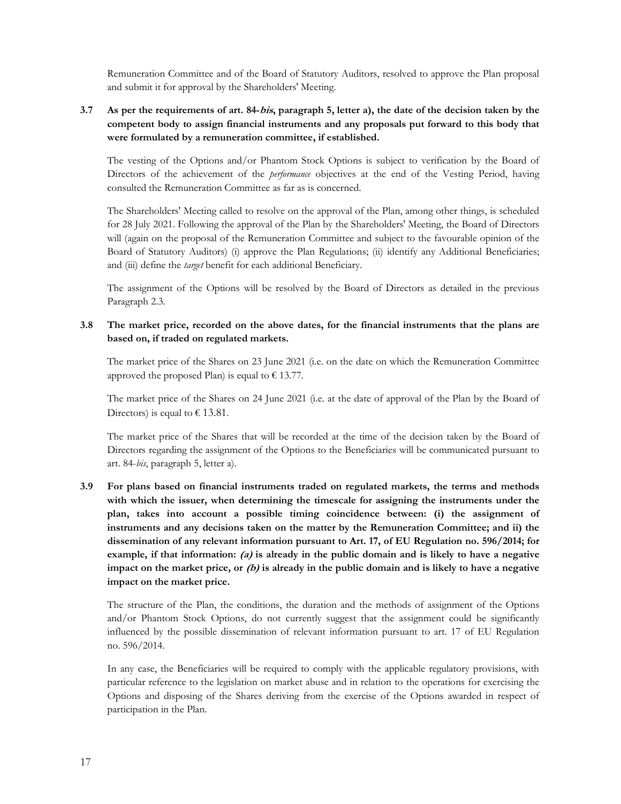Remuneration Committee and of the Board of Statutory Auditors, resolved to approve the Plan proposal and submit it for approval by the Shareholders' Meeting.

# 3.7 As per the requirements of art. 84-bis, paragraph 5, letter a), the date of the decision taken by the competent body to assign financial instruments and any proposals put forward to this body that were formulated by a remuneration committee, if established.

The vesting of the Options and/or Phantom Stock Options is subject to verification by the Board of Directors of the achievement of the *performance* objectives at the end of the Vesting Period, having consulted the Remuneration Committee as far as is concerned.

The Shareholders' Meeting called to resolve on the approval of the Plan, among other things, is scheduled for 28 July 2021. Following the approval of the Plan by the Shareholders' Meeting, the Board of Directors will (again on the proposal of the Remuneration Committee and subject to the favourable opinion of the Board of Statutory Auditors) (i) approve the Plan Regulations; (ii) identify any Additional Beneficiaries; and (iii) define the *target* benefit for each additional Beneficiary.

The assignment of the Options will be resolved by the Board of Directors as detailed in the previous Paragraph 2.3.

#### 3.8 The market price, recorded on the above dates, for the financial instruments that the plans are based on, if traded on regulated markets.

The market price of the Shares on 23 June 2021 (i.e. on the date on which the Remuneration Committee approved the proposed Plan) is equal to  $\epsilon$  13.77.

The market price of the Shares on 24 June 2021 (i.e. at the date of approval of the Plan by the Board of Directors) is equal to  $\epsilon$  13.81.

The market price of the Shares that will be recorded at the time of the decision taken by the Board of Directors regarding the assignment of the Options to the Beneficiaries will be communicated pursuant to art. 84-bis, paragraph 5, letter a).

3.9 For plans based on financial instruments traded on regulated markets, the terms and methods with which the issuer, when determining the timescale for assigning the instruments under the plan, takes into account a possible timing coincidence between: (i) the assignment of instruments and any decisions taken on the matter by the Remuneration Committee; and ii) the dissemination of any relevant information pursuant to Art. 17, of EU Regulation no. 596/2014; for example, if that information:  $(a)$  is already in the public domain and is likely to have a negative impact on the market price, or  $(b)$  is already in the public domain and is likely to have a negative impact on the market price.

The structure of the Plan, the conditions, the duration and the methods of assignment of the Options and/or Phantom Stock Options, do not currently suggest that the assignment could be significantly influenced by the possible dissemination of relevant information pursuant to art. 17 of EU Regulation no. 596/2014.

In any case, the Beneficiaries will be required to comply with the applicable regulatory provisions, with particular reference to the legislation on market abuse and in relation to the operations for exercising the Options and disposing of the Shares deriving from the exercise of the Options awarded in respect of participation in the Plan.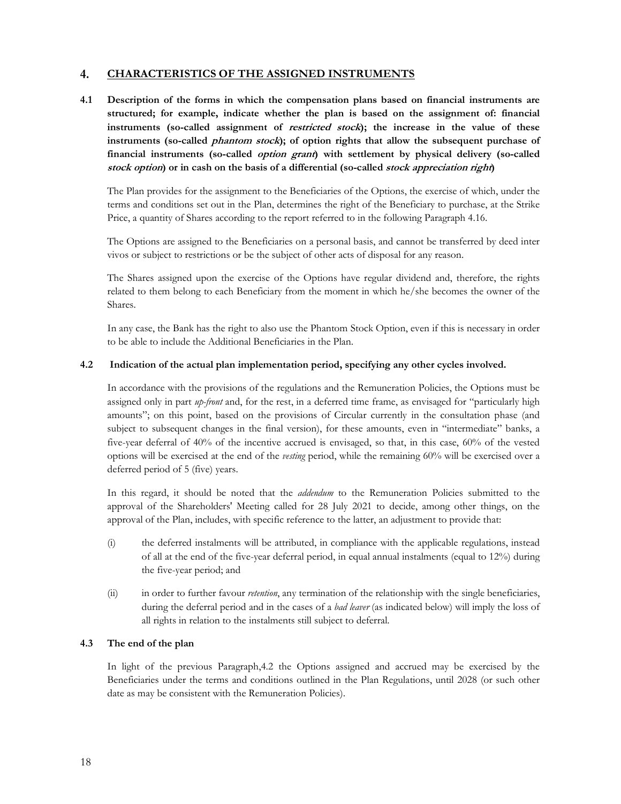#### 4. CHARACTERISTICS OF THE ASSIGNED INSTRUMENTS

4.1 Description of the forms in which the compensation plans based on financial instruments are structured; for example, indicate whether the plan is based on the assignment of: financial instruments (so-called assignment of *restricted stock*); the increase in the value of these instruments (so-called *phantom stock*); of option rights that allow the subsequent purchase of financial instruments (so-called *option grant*) with settlement by physical delivery (so-called stock option) or in cash on the basis of a differential (so-called stock appreciation right)

The Plan provides for the assignment to the Beneficiaries of the Options, the exercise of which, under the terms and conditions set out in the Plan, determines the right of the Beneficiary to purchase, at the Strike Price, a quantity of Shares according to the report referred to in the following Paragraph 4.16.

The Options are assigned to the Beneficiaries on a personal basis, and cannot be transferred by deed inter vivos or subject to restrictions or be the subject of other acts of disposal for any reason.

The Shares assigned upon the exercise of the Options have regular dividend and, therefore, the rights related to them belong to each Beneficiary from the moment in which he/she becomes the owner of the Shares.

In any case, the Bank has the right to also use the Phantom Stock Option, even if this is necessary in order to be able to include the Additional Beneficiaries in the Plan.

#### 4.2 Indication of the actual plan implementation period, specifying any other cycles involved.

In accordance with the provisions of the regulations and the Remuneration Policies, the Options must be assigned only in part up-front and, for the rest, in a deferred time frame, as envisaged for "particularly high amounts"; on this point, based on the provisions of Circular currently in the consultation phase (and subject to subsequent changes in the final version), for these amounts, even in "intermediate" banks, a five-year deferral of 40% of the incentive accrued is envisaged, so that, in this case, 60% of the vested options will be exercised at the end of the vesting period, while the remaining 60% will be exercised over a deferred period of 5 (five) years.

In this regard, it should be noted that the *addendum* to the Remuneration Policies submitted to the approval of the Shareholders' Meeting called for 28 July 2021 to decide, among other things, on the approval of the Plan, includes, with specific reference to the latter, an adjustment to provide that:

- (i) the deferred instalments will be attributed, in compliance with the applicable regulations, instead of all at the end of the five-year deferral period, in equal annual instalments (equal to 12%) during the five-year period; and
- (ii) in order to further favour *retention*, any termination of the relationship with the single beneficiaries, during the deferral period and in the cases of a *bad leaver* (as indicated below) will imply the loss of all rights in relation to the instalments still subject to deferral.

#### 4.3 The end of the plan

In light of the previous Paragraph,4.2 the Options assigned and accrued may be exercised by the Beneficiaries under the terms and conditions outlined in the Plan Regulations, until 2028 (or such other date as may be consistent with the Remuneration Policies).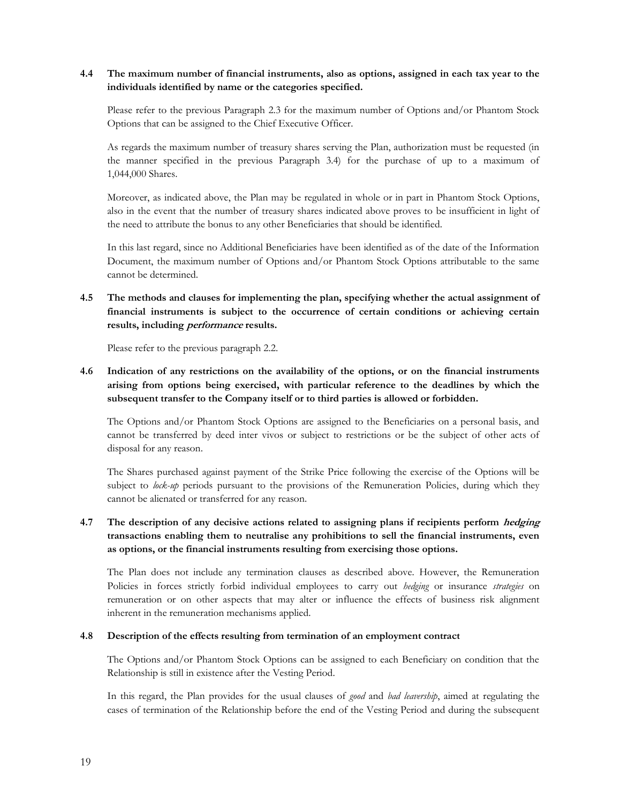# 4.4 The maximum number of financial instruments, also as options, assigned in each tax year to the individuals identified by name or the categories specified.

Please refer to the previous Paragraph 2.3 for the maximum number of Options and/or Phantom Stock Options that can be assigned to the Chief Executive Officer.

As regards the maximum number of treasury shares serving the Plan, authorization must be requested (in the manner specified in the previous Paragraph 3.4) for the purchase of up to a maximum of 1,044,000 Shares.

Moreover, as indicated above, the Plan may be regulated in whole or in part in Phantom Stock Options, also in the event that the number of treasury shares indicated above proves to be insufficient in light of the need to attribute the bonus to any other Beneficiaries that should be identified.

In this last regard, since no Additional Beneficiaries have been identified as of the date of the Information Document, the maximum number of Options and/or Phantom Stock Options attributable to the same cannot be determined.

4.5 The methods and clauses for implementing the plan, specifying whether the actual assignment of financial instruments is subject to the occurrence of certain conditions or achieving certain results, including performance results.

Please refer to the previous paragraph 2.2.

# 4.6 Indication of any restrictions on the availability of the options, or on the financial instruments arising from options being exercised, with particular reference to the deadlines by which the subsequent transfer to the Company itself or to third parties is allowed or forbidden.

The Options and/or Phantom Stock Options are assigned to the Beneficiaries on a personal basis, and cannot be transferred by deed inter vivos or subject to restrictions or be the subject of other acts of disposal for any reason.

The Shares purchased against payment of the Strike Price following the exercise of the Options will be subject to lock-up periods pursuant to the provisions of the Remuneration Policies, during which they cannot be alienated or transferred for any reason.

# 4.7 The description of any decisive actions related to assigning plans if recipients perform *hedging* transactions enabling them to neutralise any prohibitions to sell the financial instruments, even as options, or the financial instruments resulting from exercising those options.

The Plan does not include any termination clauses as described above. However, the Remuneration Policies in forces strictly forbid individual employees to carry out hedging or insurance strategies on remuneration or on other aspects that may alter or influence the effects of business risk alignment inherent in the remuneration mechanisms applied.

#### 4.8 Description of the effects resulting from termination of an employment contract

The Options and/or Phantom Stock Options can be assigned to each Beneficiary on condition that the Relationship is still in existence after the Vesting Period.

In this regard, the Plan provides for the usual clauses of good and bad leavership, aimed at regulating the cases of termination of the Relationship before the end of the Vesting Period and during the subsequent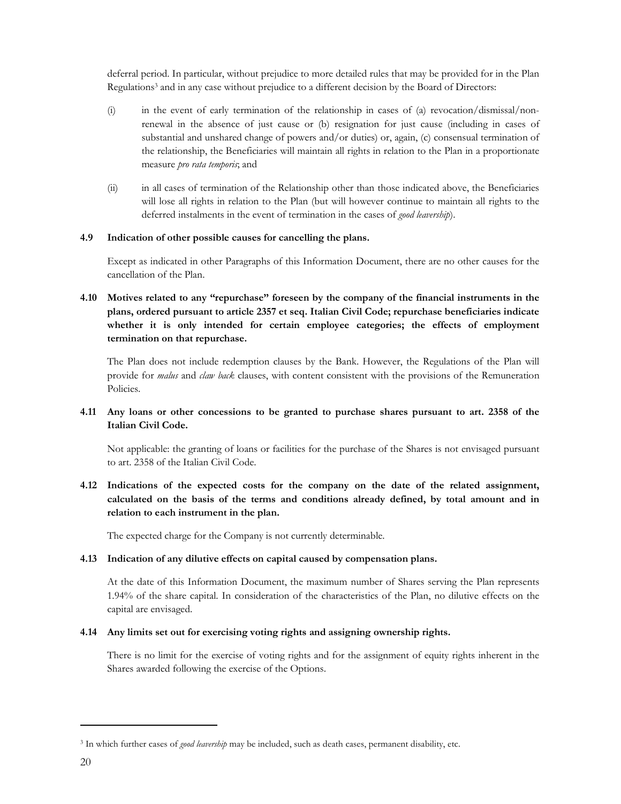deferral period. In particular, without prejudice to more detailed rules that may be provided for in the Plan Regulations<sup>3</sup> and in any case without prejudice to a different decision by the Board of Directors:

- (i) in the event of early termination of the relationship in cases of (a) revocation/dismissal/nonrenewal in the absence of just cause or (b) resignation for just cause (including in cases of substantial and unshared change of powers and/or duties) or, again, (c) consensual termination of the relationship, the Beneficiaries will maintain all rights in relation to the Plan in a proportionate measure pro rata temporis; and
- (ii) in all cases of termination of the Relationship other than those indicated above, the Beneficiaries will lose all rights in relation to the Plan (but will however continue to maintain all rights to the deferred instalments in the event of termination in the cases of good leavership).

#### 4.9 Indication of other possible causes for cancelling the plans.

Except as indicated in other Paragraphs of this Information Document, there are no other causes for the cancellation of the Plan.

4.10 Motives related to any "repurchase" foreseen by the company of the financial instruments in the plans, ordered pursuant to article 2357 et seq. Italian Civil Code; repurchase beneficiaries indicate whether it is only intended for certain employee categories; the effects of employment termination on that repurchase.

The Plan does not include redemption clauses by the Bank. However, the Regulations of the Plan will provide for *malus* and *claw back* clauses, with content consistent with the provisions of the Remuneration Policies.

### 4.11 Any loans or other concessions to be granted to purchase shares pursuant to art. 2358 of the Italian Civil Code.

Not applicable: the granting of loans or facilities for the purchase of the Shares is not envisaged pursuant to art. 2358 of the Italian Civil Code.

4.12 Indications of the expected costs for the company on the date of the related assignment, calculated on the basis of the terms and conditions already defined, by total amount and in relation to each instrument in the plan.

The expected charge for the Company is not currently determinable.

#### 4.13 Indication of any dilutive effects on capital caused by compensation plans.

At the date of this Information Document, the maximum number of Shares serving the Plan represents 1.94% of the share capital. In consideration of the characteristics of the Plan, no dilutive effects on the capital are envisaged.

#### 4.14 Any limits set out for exercising voting rights and assigning ownership rights.

There is no limit for the exercise of voting rights and for the assignment of equity rights inherent in the Shares awarded following the exercise of the Options.

<sup>&</sup>lt;sup>3</sup> In which further cases of good leavership may be included, such as death cases, permanent disability, etc.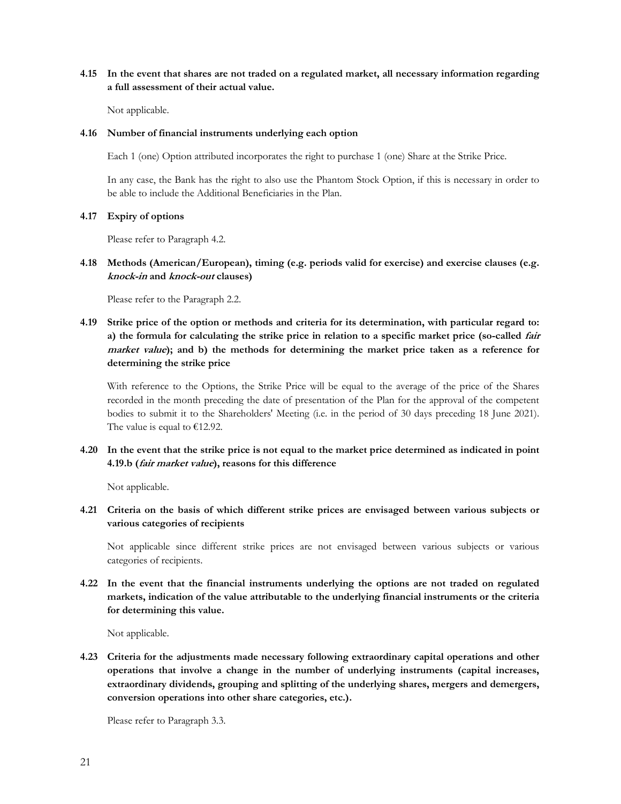# 4.15 In the event that shares are not traded on a regulated market, all necessary information regarding a full assessment of their actual value.

Not applicable.

#### 4.16 Number of financial instruments underlying each option

Each 1 (one) Option attributed incorporates the right to purchase 1 (one) Share at the Strike Price.

In any case, the Bank has the right to also use the Phantom Stock Option, if this is necessary in order to be able to include the Additional Beneficiaries in the Plan.

#### 4.17 Expiry of options

Please refer to Paragraph 4.2.

#### 4.18 Methods (American/European), timing (e.g. periods valid for exercise) and exercise clauses (e.g. knock-in and knock-out clauses)

Please refer to the Paragraph 2.2.

# 4.19 Strike price of the option or methods and criteria for its determination, with particular regard to: a) the formula for calculating the strike price in relation to a specific market price (so-called fair market value); and b) the methods for determining the market price taken as a reference for determining the strike price

With reference to the Options, the Strike Price will be equal to the average of the price of the Shares recorded in the month preceding the date of presentation of the Plan for the approval of the competent bodies to submit it to the Shareholders' Meeting (i.e. in the period of 30 days preceding 18 June 2021). The value is equal to  $€12.92$ .

# 4.20 In the event that the strike price is not equal to the market price determined as indicated in point 4.19.b (fair market value), reasons for this difference

Not applicable.

# 4.21 Criteria on the basis of which different strike prices are envisaged between various subjects or various categories of recipients

Not applicable since different strike prices are not envisaged between various subjects or various categories of recipients.

4.22 In the event that the financial instruments underlying the options are not traded on regulated markets, indication of the value attributable to the underlying financial instruments or the criteria for determining this value.

Not applicable.

4.23 Criteria for the adjustments made necessary following extraordinary capital operations and other operations that involve a change in the number of underlying instruments (capital increases, extraordinary dividends, grouping and splitting of the underlying shares, mergers and demergers, conversion operations into other share categories, etc.).

Please refer to Paragraph 3.3.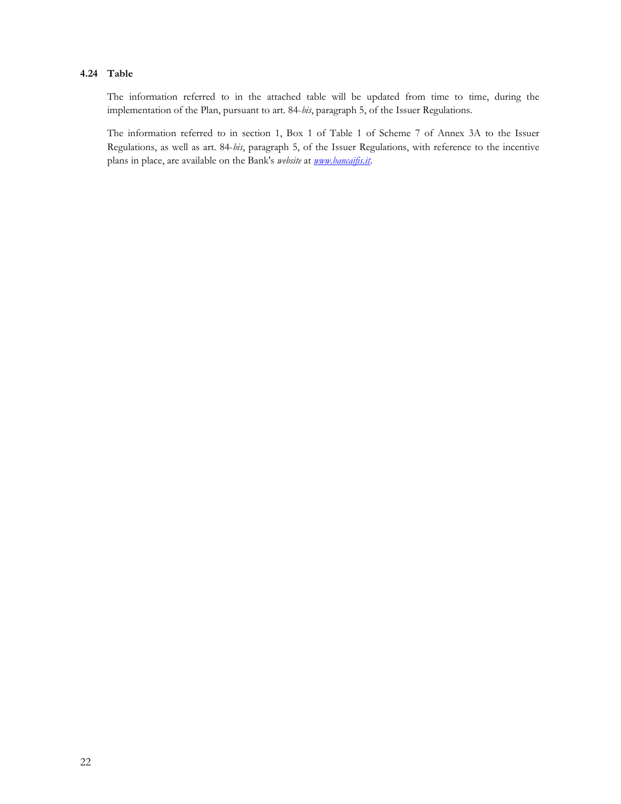# 4.24 Table

The information referred to in the attached table will be updated from time to time, during the implementation of the Plan, pursuant to art. 84-bis, paragraph 5, of the Issuer Regulations.

The information referred to in section 1, Box 1 of Table 1 of Scheme 7 of Annex 3A to the Issuer Regulations, as well as art. 84-bis, paragraph 5, of the Issuer Regulations, with reference to the incentive plans in place, are available on the Bank's website at **www.bancaifis.it**.